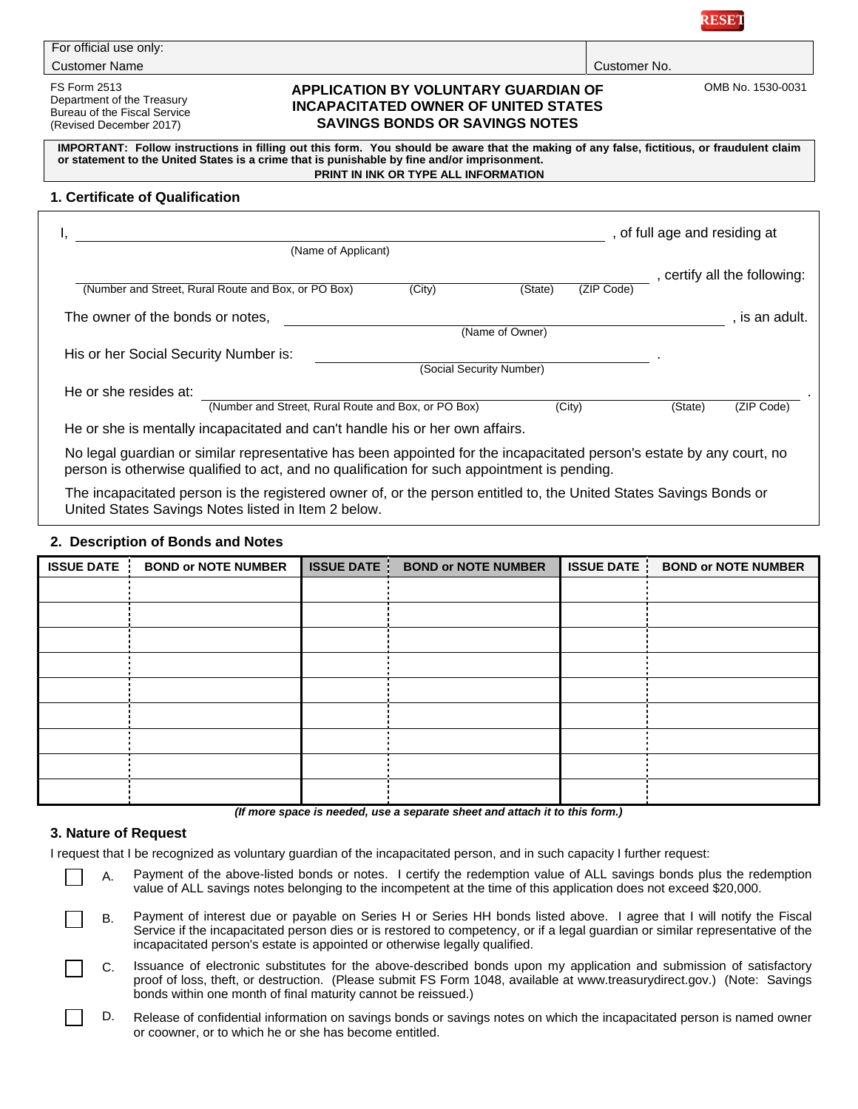

Customer No.

| For official use only: |  |
|------------------------|--|
| Customer Name          |  |

FS Form 2513 Department of the Treasury Bureau of the Fiscal Service (Revised December 2017)

## **APPLICATION BY VOLUNTARY GUARDIAN OF INCAPACITATED OWNER OF UNITED STATES SAVINGS BONDS OR SAVINGS NOTES**

OMB No. 1530-0031

**IMPORTANT: Follow instructions in filling out this form. You should be aware that the making of any false, fictitious, or fraudulent claim or statement to the United States is a crime that is punishable by fine and/or imprisonment. PRINT IN INK OR TYPE ALL INFORMATION** 

#### **1. Certificate of Qualification**

| (Name of Applicant)                                 |                          |                 |            | , of full age and residing at |                              |
|-----------------------------------------------------|--------------------------|-----------------|------------|-------------------------------|------------------------------|
|                                                     |                          |                 |            |                               | , certify all the following: |
| (Number and Street, Rural Route and Box, or PO Box) | (City)                   | (State)         | (ZIP Code) |                               |                              |
| The owner of the bonds or notes,                    |                          |                 |            |                               | . is an adult.               |
|                                                     |                          | (Name of Owner) |            |                               |                              |
| His or her Social Security Number is:               |                          |                 |            |                               |                              |
|                                                     | (Social Security Number) |                 |            |                               |                              |
| He or she resides at:                               |                          |                 |            |                               |                              |
| (Number and Street, Rural Route and Box, or PO Box) |                          |                 | (City)     | (State)                       | (ZIP Code)                   |

No legal guardian or similar representative has been appointed for the incapacitated person's estate by any court, no person is otherwise qualified to act, and no qualification for such appointment is pending.

The incapacitated person is the registered owner of, or the person entitled to, the United States Savings Bonds or United States Savings Notes listed in Item 2 below.

### **2. Description of Bonds and Notes**

| <b>ISSUE DATE</b> | <b>BOND or NOTE NUMBER</b> | <b>ISSUE DATE</b> | <b>BOND or NOTE NUMBER</b> | <b>ISSUE DATE</b> | <b>BOND or NOTE NUMBER</b> |
|-------------------|----------------------------|-------------------|----------------------------|-------------------|----------------------------|
|                   |                            |                   |                            |                   |                            |
|                   |                            |                   |                            |                   |                            |
|                   |                            |                   |                            |                   |                            |
|                   |                            |                   |                            |                   |                            |
|                   |                            |                   |                            |                   |                            |
|                   |                            |                   |                            |                   |                            |
|                   |                            |                   |                            |                   |                            |
|                   |                            |                   |                            |                   |                            |
|                   |                            |                   |                            |                   |                            |

*(If more space is needed, use a separate sheet and attach it to this form.)* 

## **3. Nature of Request**

I request that I be recognized as voluntary guardian of the incapacitated person, and in such capacity I further request:

- A. Payment of the above-listed bonds or notes. I certify the redemption value of ALL savings bonds plus the redemption value of ALL savings notes belonging to the incompetent at the time of this application does not exceed \$20,000.
	- B. Payment of interest due or payable on Series H or Series HH bonds listed above. I agree that I will notify the Fiscal Service if the incapacitated person dies or is restored to competency, or if a legal guardian or similar representative of the incapacitated person's estate is appointed or otherwise legally qualified.
- C. Issuance of electronic substitutes for the above-described bonds upon my application and submission of satisfactory proof of loss, theft, or destruction. (Please submit FS Form 1048, available at www.treasurydirect.gov.) (Note: Savings bonds within one month of final maturity cannot be reissued.)
- D. Release of confidential information on savings bonds or savings notes on which the incapacitated person is named owner or coowner, or to which he or she has become entitled.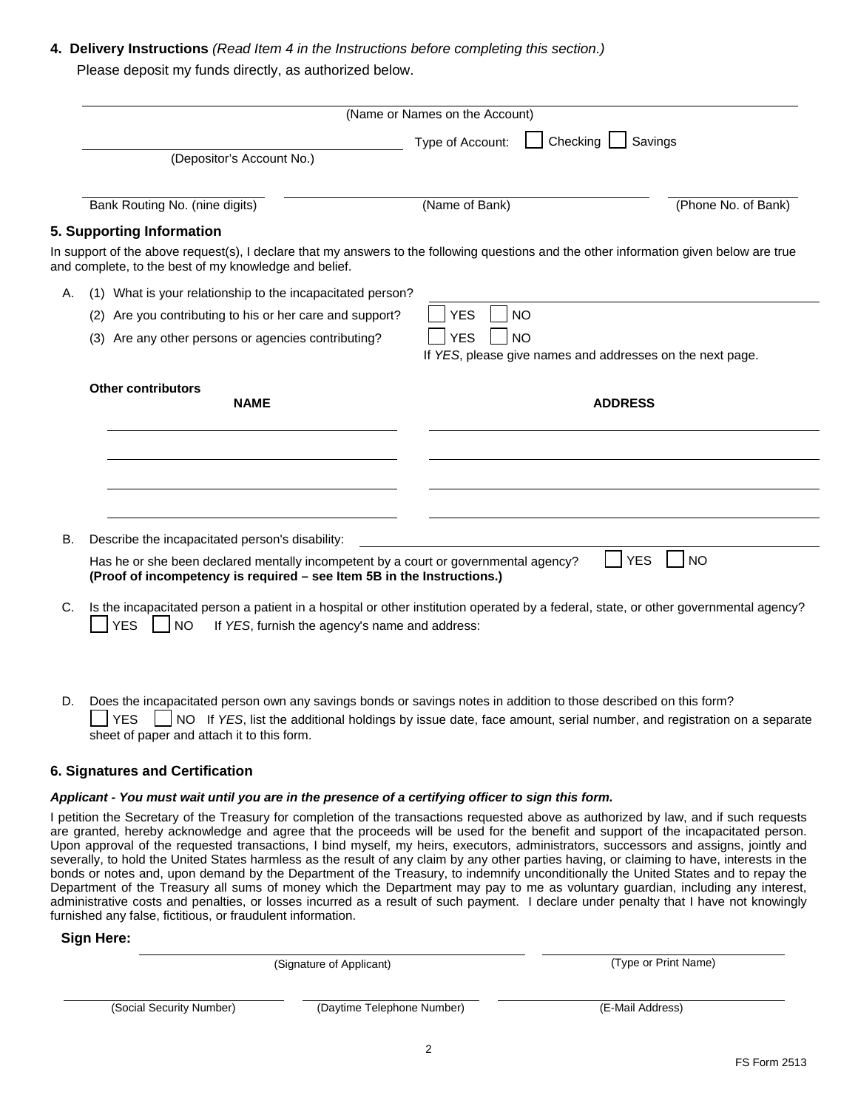# **4. Delivery Instructions** *(Read Item 4 in the Instructions before completing this section.)* Please deposit my funds directly, as authorized below.

|    |                                                                                                                                                                                                                   | (Name or Names on the Account)                            |                     |
|----|-------------------------------------------------------------------------------------------------------------------------------------------------------------------------------------------------------------------|-----------------------------------------------------------|---------------------|
|    | (Depositor's Account No.)                                                                                                                                                                                         | Checking<br>Savings<br>Type of Account:                   |                     |
|    | Bank Routing No. (nine digits)                                                                                                                                                                                    | (Name of Bank)                                            | (Phone No. of Bank) |
|    | 5. Supporting Information                                                                                                                                                                                         |                                                           |                     |
|    | In support of the above request(s), I declare that my answers to the following questions and the other information given below are true<br>and complete, to the best of my knowledge and belief.                  |                                                           |                     |
| Α. | (1) What is your relationship to the incapacitated person?                                                                                                                                                        |                                                           |                     |
|    | Are you contributing to his or her care and support?<br>(2)                                                                                                                                                       | <b>YES</b><br><b>NO</b>                                   |                     |
|    | Are any other persons or agencies contributing?<br>(3)                                                                                                                                                            | <b>YES</b><br><b>NO</b>                                   |                     |
|    |                                                                                                                                                                                                                   | If YES, please give names and addresses on the next page. |                     |
|    | <b>Other contributors</b><br><b>NAME</b>                                                                                                                                                                          | <b>ADDRESS</b>                                            |                     |
|    |                                                                                                                                                                                                                   |                                                           |                     |
|    |                                                                                                                                                                                                                   |                                                           |                     |
|    |                                                                                                                                                                                                                   |                                                           |                     |
| В. | Describe the incapacitated person's disability:                                                                                                                                                                   |                                                           |                     |
|    | Has he or she been declared mentally incompetent by a court or governmental agency?<br>(Proof of incompetency is required - see Item 5B in the Instructions.)                                                     | <b>YES</b>                                                | <b>NO</b>           |
| C. | Is the incapacitated person a patient in a hospital or other institution operated by a federal, state, or other governmental agency?<br><b>YES</b><br><b>NO</b><br>If YES, furnish the agency's name and address: |                                                           |                     |

D. Does the incapacitated person own any savings bonds or savings notes in addition to those described on this form? YES NO If *YES*, list the additional holdings by issue date, face amount, serial number, and registration on a separate sheet of paper and attach it to this form.

# **6. Signatures and Certification**

#### *Applicant - You must wait until you are in the presence of a certifying officer to sign this form.*

I petition the Secretary of the Treasury for completion of the transactions requested above as authorized by law, and if such requests are granted, hereby acknowledge and agree that the proceeds will be used for the benefit and support of the incapacitated person. Upon approval of the requested transactions, I bind myself, my heirs, executors, administrators, successors and assigns, jointly and severally, to hold the United States harmless as the result of any claim by any other parties having, or claiming to have, interests in the bonds or notes and, upon demand by the Department of the Treasury, to indemnify unconditionally the United States and to repay the Department of the Treasury all sums of money which the Department may pay to me as voluntary guardian, including any interest, administrative costs and penalties, or losses incurred as a result of such payment. I declare under penalty that I have not knowingly furnished any false, fictitious, or fraudulent information.

## **Sign Here:**

|                          | (Type or Print Name)       |                  |
|--------------------------|----------------------------|------------------|
| (Social Security Number) | (Daytime Telephone Number) | (E-Mail Address) |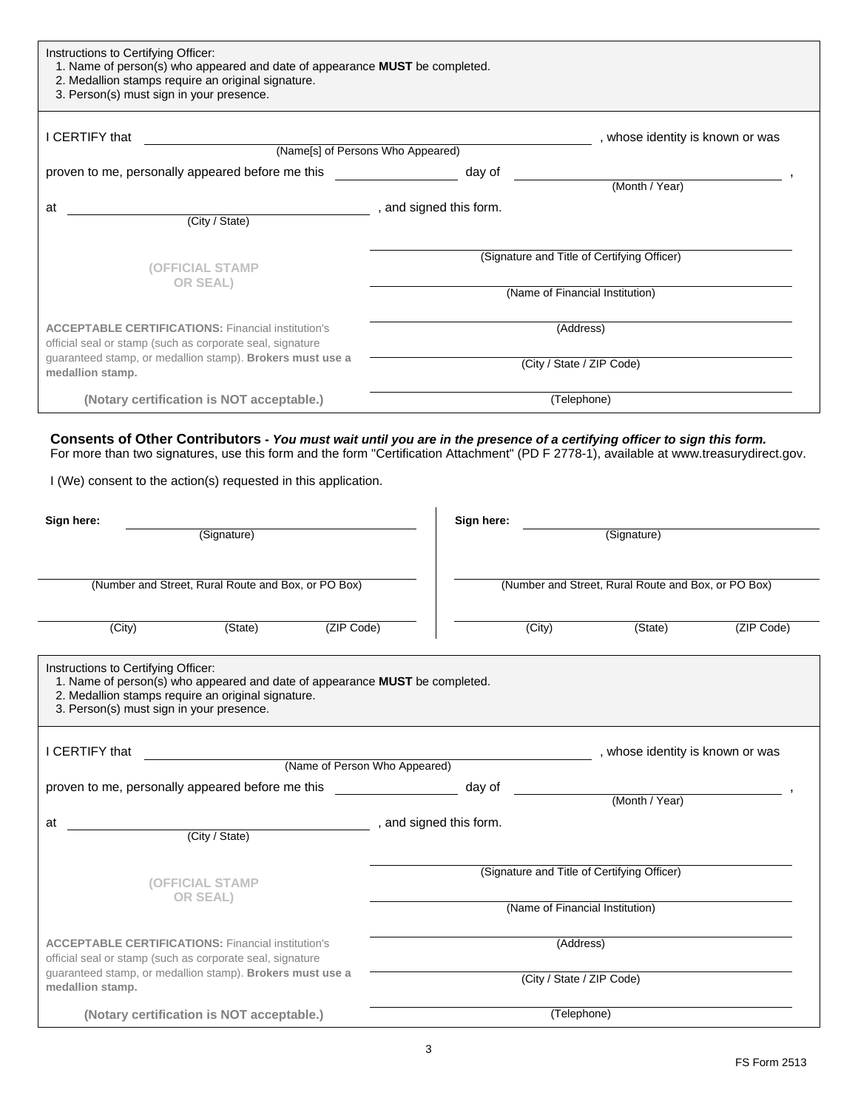| Instructions to Certifying Officer:<br>1. Name of person(s) who appeared and date of appearance <b>MUST</b> be completed.<br>2. Medallion stamps require an original signature.<br>3. Person(s) must sign in your presence. |                                   |                                             |  |  |  |
|-----------------------------------------------------------------------------------------------------------------------------------------------------------------------------------------------------------------------------|-----------------------------------|---------------------------------------------|--|--|--|
| I CERTIFY that                                                                                                                                                                                                              |                                   | , whose identity is known or was            |  |  |  |
|                                                                                                                                                                                                                             | (Name[s] of Persons Who Appeared) |                                             |  |  |  |
| proven to me, personally appeared before me this                                                                                                                                                                            | day of                            |                                             |  |  |  |
|                                                                                                                                                                                                                             |                                   | (Month / Year)                              |  |  |  |
| at                                                                                                                                                                                                                          | , and signed this form.           |                                             |  |  |  |
| (City / State)                                                                                                                                                                                                              |                                   |                                             |  |  |  |
| (OFFICIAL STAMP                                                                                                                                                                                                             |                                   | (Signature and Title of Certifying Officer) |  |  |  |
| <b>OR SEAL)</b>                                                                                                                                                                                                             | (Name of Financial Institution)   |                                             |  |  |  |
| <b>ACCEPTABLE CERTIFICATIONS: Financial institution's</b><br>official seal or stamp (such as corporate seal, signature                                                                                                      |                                   | (Address)                                   |  |  |  |
| guaranteed stamp, or medallion stamp). Brokers must use a<br>medallion stamp.                                                                                                                                               | (City / State / ZIP Code)         |                                             |  |  |  |
| (Notary certification is NOT acceptable.)                                                                                                                                                                                   |                                   | (Telephone)                                 |  |  |  |

**Consents of Other Contributors -** *You must wait until you are in the presence of a certifying officer to sign this form.*  For more than two signatures, use this form and the form "Certification Attachment" (PD F 2778-1), available at www.treasurydirect.gov.

I (We) consent to the action(s) requested in this application.

| Sign here:                                                                                                                                                                                                           | (Signature)                                         | Sign here:                    |                                             | (Signature)                                         |            |
|----------------------------------------------------------------------------------------------------------------------------------------------------------------------------------------------------------------------|-----------------------------------------------------|-------------------------------|---------------------------------------------|-----------------------------------------------------|------------|
|                                                                                                                                                                                                                      | (Number and Street, Rural Route and Box, or PO Box) |                               |                                             | (Number and Street, Rural Route and Box, or PO Box) |            |
| (City)                                                                                                                                                                                                               | (State)<br>(ZIP Code)                               |                               | (City)                                      | (State)                                             | (ZIP Code) |
| Instructions to Certifying Officer:<br>1. Name of person(s) who appeared and date of appearance MUST be completed.<br>2. Medallion stamps require an original signature.<br>3. Person(s) must sign in your presence. |                                                     |                               |                                             |                                                     |            |
| I CERTIFY that                                                                                                                                                                                                       |                                                     | (Name of Person Who Appeared) |                                             | , whose identity is known or was                    |            |
| proven to me, personally appeared before me this                                                                                                                                                                     |                                                     |                               | day of                                      |                                                     |            |
|                                                                                                                                                                                                                      |                                                     |                               |                                             | (Month / Year)                                      |            |
| at                                                                                                                                                                                                                   |                                                     | , and signed this form.       |                                             |                                                     |            |
|                                                                                                                                                                                                                      | (City / State)                                      |                               |                                             |                                                     |            |
| <b>(OFFICIAL STAMP</b>                                                                                                                                                                                               |                                                     |                               | (Signature and Title of Certifying Officer) |                                                     |            |
| OR SEAL)                                                                                                                                                                                                             |                                                     |                               | (Name of Financial Institution)             |                                                     |            |
| <b>ACCEPTABLE CERTIFICATIONS: Financial institution's</b><br>official seal or stamp (such as corporate seal, signature<br>quaranteed stamp, or medallion stamp). Brokers must use a<br>medallion stamp.              |                                                     |                               | (Address)                                   |                                                     |            |
|                                                                                                                                                                                                                      |                                                     |                               | (City / State / ZIP Code)                   |                                                     |            |
| (Notary certification is NOT acceptable.)                                                                                                                                                                            |                                                     |                               | (Telephone)                                 |                                                     |            |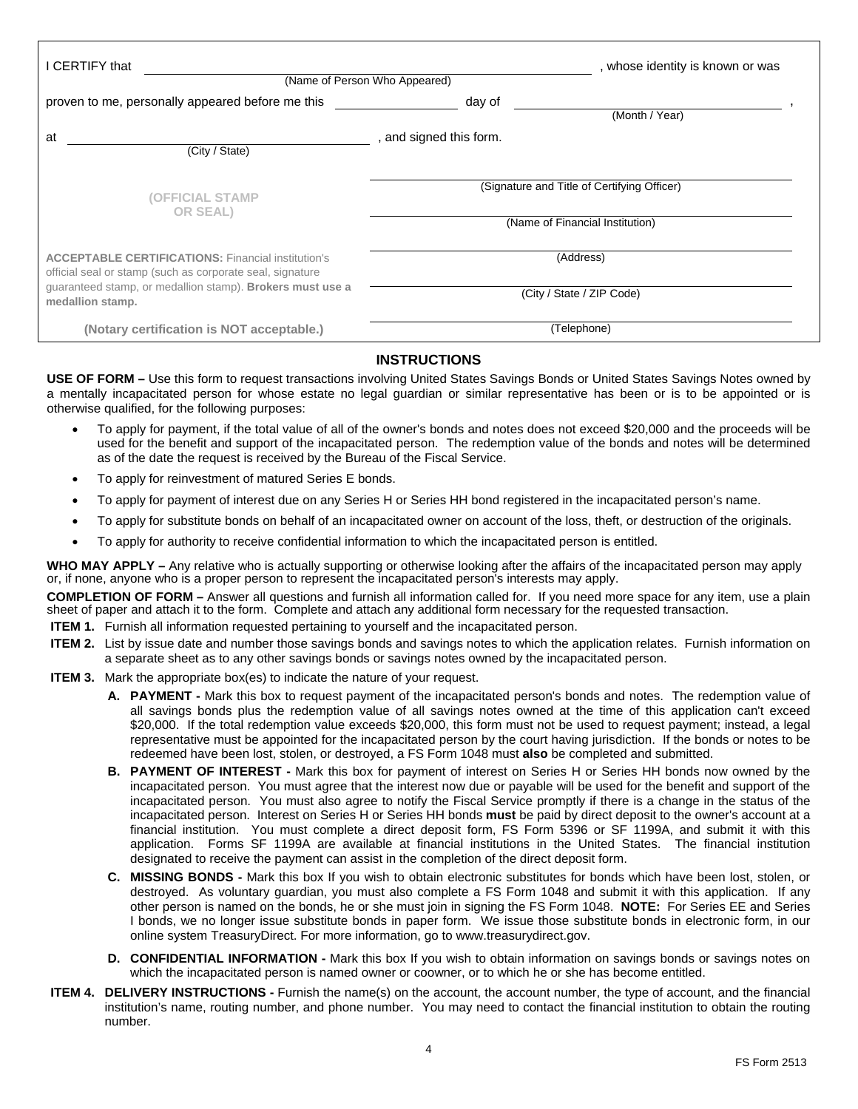| I CERTIFY that                                                                                                                                                                                          | (Name of Person Who Appeared) | , whose identity is known or was                                               |
|---------------------------------------------------------------------------------------------------------------------------------------------------------------------------------------------------------|-------------------------------|--------------------------------------------------------------------------------|
| proven to me, personally appeared before me this                                                                                                                                                        | day of                        | (Month / Year)                                                                 |
| at<br>(City / State)                                                                                                                                                                                    | , and signed this form.       |                                                                                |
| (OFFICIAL STAMP<br><b>OR SEAL)</b>                                                                                                                                                                      |                               | (Signature and Title of Certifying Officer)<br>(Name of Financial Institution) |
| <b>ACCEPTABLE CERTIFICATIONS: Financial institution's</b><br>official seal or stamp (such as corporate seal, signature<br>guaranteed stamp, or medallion stamp). Brokers must use a<br>medallion stamp. |                               | (Address)<br>(City / State / ZIP Code)                                         |
| (Notary certification is NOT acceptable.)                                                                                                                                                               |                               | (Telephone)                                                                    |

### **INSTRUCTIONS**

**USE OF FORM –** Use this form to request transactions involving United States Savings Bonds or United States Savings Notes owned by a mentally incapacitated person for whose estate no legal guardian or similar representative has been or is to be appointed or is otherwise qualified, for the following purposes:

- To apply for payment, if the total value of all of the owner's bonds and notes does not exceed \$20,000 and the proceeds will be used for the benefit and support of the incapacitated person. The redemption value of the bonds and notes will be determined as of the date the request is received by the Bureau of the Fiscal Service.
- To apply for reinvestment of matured Series E bonds.
- To apply for payment of interest due on any Series H or Series HH bond registered in the incapacitated person's name.
- To apply for substitute bonds on behalf of an incapacitated owner on account of the loss, theft, or destruction of the originals.
- To apply for authority to receive confidential information to which the incapacitated person is entitled.

**WHO MAY APPLY –** Any relative who is actually supporting or otherwise looking after the affairs of the incapacitated person may apply or, if none, anyone who is a proper person to represent the incapacitated person's interests may apply.

**COMPLETION OF FORM –** Answer all questions and furnish all information called for. If you need more space for any item, use a plain sheet of paper and attach it to the form. Complete and attach any additional form necessary for the requested transaction.

- **ITEM 1.** Furnish all information requested pertaining to yourself and the incapacitated person.
- **ITEM 2.** List by issue date and number those savings bonds and savings notes to which the application relates. Furnish information on a separate sheet as to any other savings bonds or savings notes owned by the incapacitated person.

#### **ITEM 3.** Mark the appropriate box(es) to indicate the nature of your request.

- **A. PAYMENT** Mark this box to request payment of the incapacitated person's bonds and notes. The redemption value of all savings bonds plus the redemption value of all savings notes owned at the time of this application can't exceed \$20,000. If the total redemption value exceeds \$20,000, this form must not be used to request payment; instead, a legal representative must be appointed for the incapacitated person by the court having jurisdiction. If the bonds or notes to be redeemed have been lost, stolen, or destroyed, a FS Form 1048 must **also** be completed and submitted.
- **B.** PAYMENT OF INTEREST Mark this box for payment of interest on Series H or Series HH bonds now owned by the incapacitated person. You must agree that the interest now due or payable will be used for the benefit and support of the incapacitated person. You must also agree to notify the Fiscal Service promptly if there is a change in the status of the incapacitated person. Interest on Series H or Series HH bonds **must** be paid by direct deposit to the owner's account at a financial institution. You must complete a direct deposit form, FS Form 5396 or SF 1199A, and submit it with this application. Forms SF 1199A are available at financial institutions in the United States. The financial institution designated to receive the payment can assist in the completion of the direct deposit form.
- **C. MISSING BONDS** Mark this box If you wish to obtain electronic substitutes for bonds which have been lost, stolen, or destroyed. As voluntary guardian, you must also complete a FS Form 1048 and submit it with this application. If any other person is named on the bonds, he or she must join in signing the FS Form 1048. **NOTE:** For Series EE and Series I bonds, we no longer issue substitute bonds in paper form. We issue those substitute bonds in electronic form, in our online system TreasuryDirect. For more information, go to www.treasurydirect.gov.
- **D. CONFIDENTIAL INFORMATION** Mark this box If you wish to obtain information on savings bonds or savings notes on which the incapacitated person is named owner or coowner, or to which he or she has become entitled.
- **ITEM 4. DELIVERY INSTRUCTIONS -** Furnish the name(s) on the account, the account number, the type of account, and the financial institution's name, routing number, and phone number. You may need to contact the financial institution to obtain the routing number.